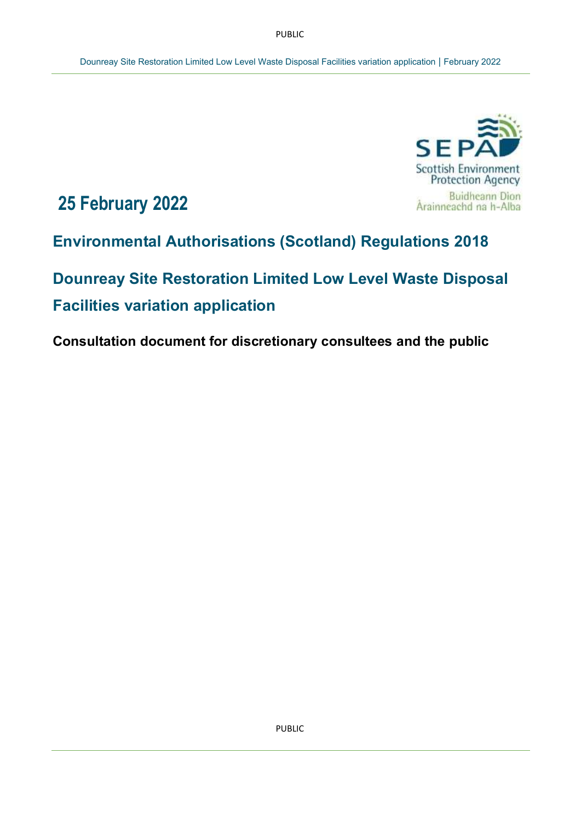PUBLIC



# **25 February 2022**

**Environmental Authorisations (Scotland) Regulations 2018** 

**Dounreay Site Restoration Limited Low Level Waste Disposal Facilities variation application**

**Consultation document for discretionary consultees and the public**

PUBLIC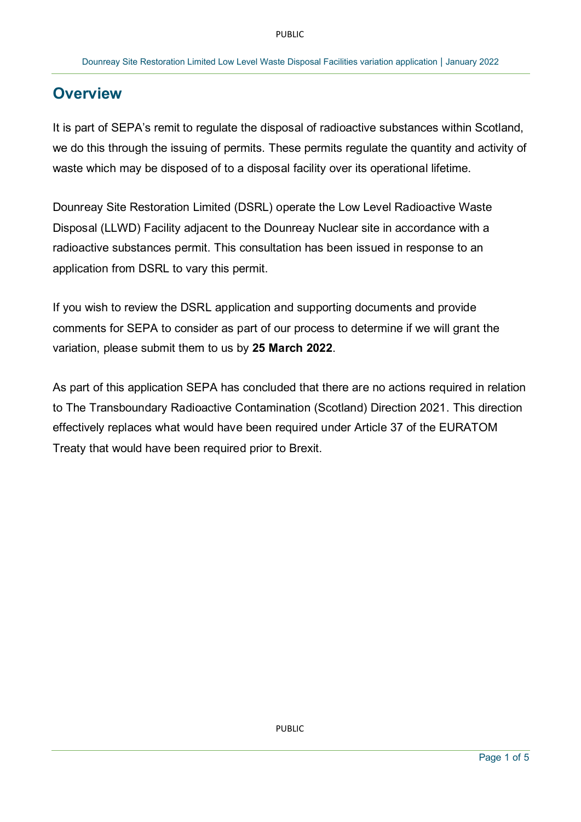# **Overview**

It is part of SEPA's remit to regulate the disposal of radioactive substances within Scotland, we do this through the issuing of permits. These permits regulate the quantity and activity of waste which may be disposed of to a disposal facility over its operational lifetime.

Dounreay Site Restoration Limited (DSRL) operate the Low Level Radioactive Waste Disposal (LLWD) Facility adjacent to the Dounreay Nuclear site in accordance with a radioactive substances permit. This consultation has been issued in response to an application from DSRL to vary this permit.

If you wish to review the DSRL application and supporting documents and provide comments for SEPA to consider as part of our process to determine if we will grant the variation, please submit them to us by **25 March 2022**.

As part of this application SEPA has concluded that there are no actions required in relation to The Transboundary Radioactive Contamination (Scotland) Direction 2021. This direction effectively replaces what would have been required under Article 37 of the EURATOM Treaty that would have been required prior to Brexit.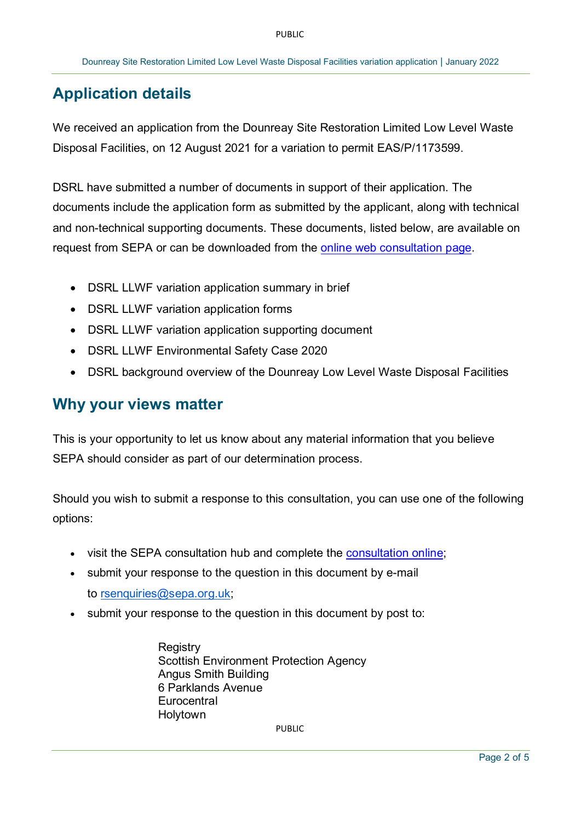# **Application details**

We received an application from the Dounreay Site Restoration Limited Low Level Waste Disposal Facilities, on 12 August 2021 for a variation to permit EAS/P/1173599.

DSRL have submitted a number of documents in support of their application. The documents include the application form as submitted by the applicant, along with technical and non-technical supporting documents. These documents, listed below, are available on request from SEPA or can be downloaded from the [online web consultation page.](https://consultation.sepa.org.uk/permits/dounreay-llwf-easr-variation-application)

- DSRL LLWF variation application summary in brief
- DSRL LLWF variation application forms
- DSRL LLWF variation application supporting document
- DSRL LLWF Environmental Safety Case 2020
- DSRL background overview of the Dounreay Low Level Waste Disposal Facilities

### **Why your views matter**

This is your opportunity to let us know about any material information that you believe SEPA should consider as part of our determination process.

Should you wish to submit a response to this consultation, you can use one of the following options:

- visit the SEPA [consultation](file:///C:/Users/Joanna.Gardiner/AppData/Local/Microsoft/Windows/INetCache/Content.Outlook/KC0L73L5/•%09https:/consultation.sepa.org.uk/permits/dounreay-llwf-easr-variation-application) hub and complete the consultation online;
- submit your response to the question in this document by e-mail to [rsenquiries@sepa.org.uk;](mailto:rsenquiries@sepa.org.uk)
- submit your response to the question in this document by post to:

**Registry** Scottish Environment Protection Agency Angus Smith Building 6 Parklands Avenue **Eurocentral** Holytown

PUBLIC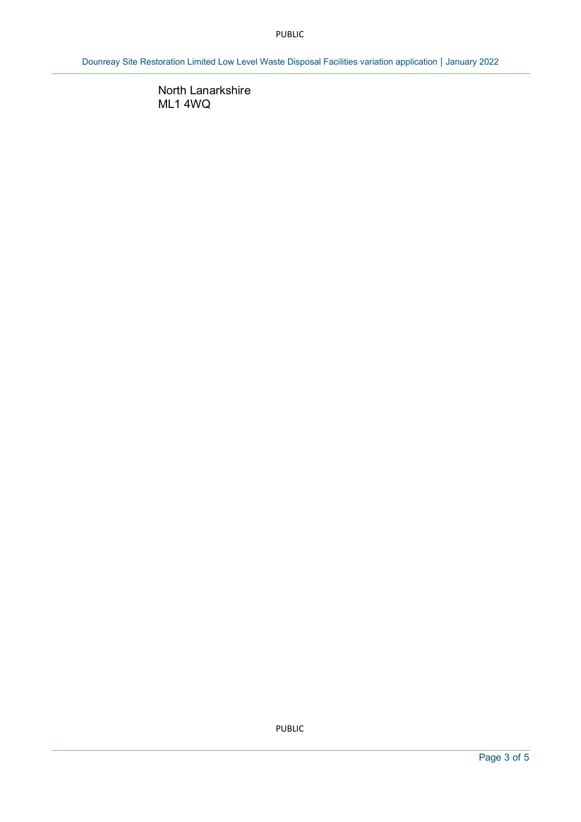#### PUBLIC

Dounreay Site Restoration Limited Low Level Waste Disposal Facilities variation application | January 2022

North Lanarkshire ML1 4WQ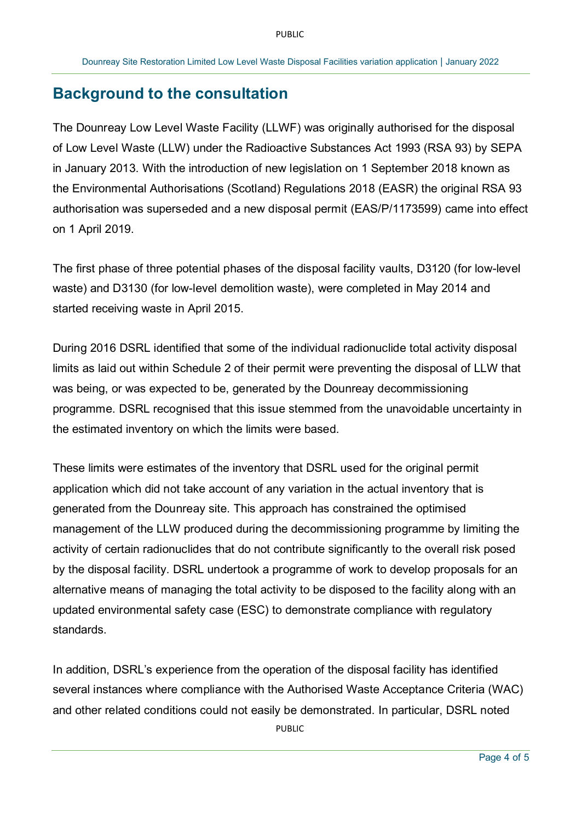### **Background to the consultation**

The Dounreay Low Level Waste Facility (LLWF) was originally authorised for the disposal of Low Level Waste (LLW) under the Radioactive Substances Act 1993 (RSA 93) by SEPA in January 2013. With the introduction of new legislation on 1 September 2018 known as the Environmental Authorisations (Scotland) Regulations 2018 (EASR) the original RSA 93 authorisation was superseded and a new disposal permit (EAS/P/1173599) came into effect on 1 April 2019.

The first phase of three potential phases of the disposal facility vaults, D3120 (for low-level waste) and D3130 (for low-level demolition waste), were completed in May 2014 and started receiving waste in April 2015.

During 2016 DSRL identified that some of the individual radionuclide total activity disposal limits as laid out within Schedule 2 of their permit were preventing the disposal of LLW that was being, or was expected to be, generated by the Dounreay decommissioning programme. DSRL recognised that this issue stemmed from the unavoidable uncertainty in the estimated inventory on which the limits were based.

These limits were estimates of the inventory that DSRL used for the original permit application which did not take account of any variation in the actual inventory that is generated from the Dounreay site. This approach has constrained the optimised management of the LLW produced during the decommissioning programme by limiting the activity of certain radionuclides that do not contribute significantly to the overall risk posed by the disposal facility. DSRL undertook a programme of work to develop proposals for an alternative means of managing the total activity to be disposed to the facility along with an updated environmental safety case (ESC) to demonstrate compliance with regulatory standards.

PUBLIC In addition, DSRL's experience from the operation of the disposal facility has identified several instances where compliance with the Authorised Waste Acceptance Criteria (WAC) and other related conditions could not easily be demonstrated. In particular, DSRL noted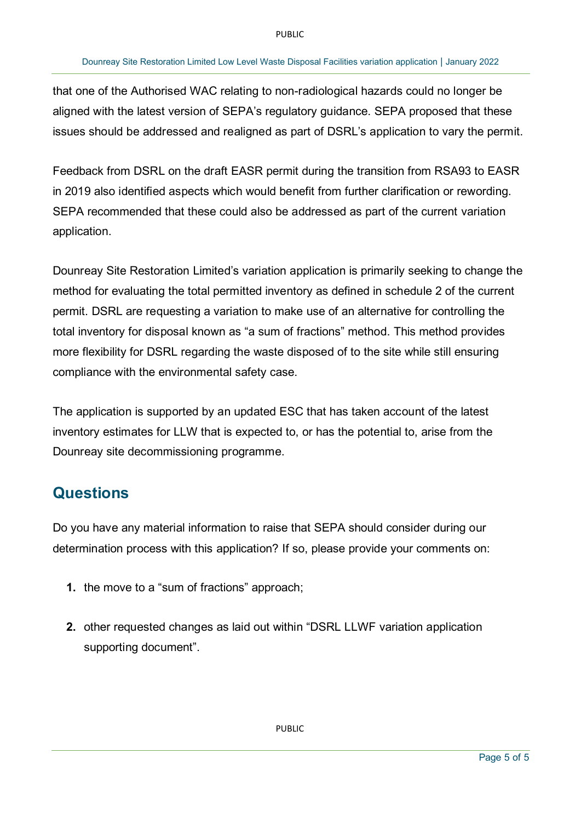#### Dounreay Site Restoration Limited Low Level Waste Disposal Facilities variation application | January 2022

that one of the Authorised WAC relating to non-radiological hazards could no longer be aligned with the latest version of SEPA's regulatory guidance. SEPA proposed that these issues should be addressed and realigned as part of DSRL's application to vary the permit.

Feedback from DSRL on the draft EASR permit during the transition from RSA93 to EASR in 2019 also identified aspects which would benefit from further clarification or rewording. SEPA recommended that these could also be addressed as part of the current variation application.

Dounreay Site Restoration Limited's variation application is primarily seeking to change the method for evaluating the total permitted inventory as defined in schedule 2 of the current permit. DSRL are requesting a variation to make use of an alternative for controlling the total inventory for disposal known as "a sum of fractions" method. This method provides more flexibility for DSRL regarding the waste disposed of to the site while still ensuring compliance with the environmental safety case.

The application is supported by an updated ESC that has taken account of the latest inventory estimates for LLW that is expected to, or has the potential to, arise from the Dounreay site decommissioning programme.

### **Questions**

Do you have any material information to raise that SEPA should consider during our determination process with this application? If so, please provide your comments on:

- **1.** the move to a "sum of fractions" approach;
- **2.** other requested changes as laid out within "DSRL LLWF variation application supporting document".

PUBLIC